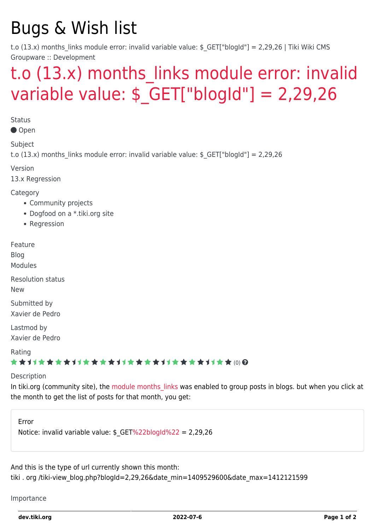# Bugs & Wish list

t.o (13.x) months links module error: invalid variable value:  $$GF['blogId"] = 2,29,26$  | Tiki Wiki CMS Groupware :: Development

## t.o (13.x) months links module error: invalid variable value:  $$ GET['bloodd"] = 2,29,26$

**Status** 

Open

Subject

t.o (13.x) months links module error: invalid variable value:  $$ GET['blogId"] = 2,29,26$ 

Version

13.x Regression

Category

- Community projects
- Dogfood on a \*.tiki.org site
- Regression

Feature

Blog

Modules

Resolution status

New

Submitted by Xavier de Pedro

Lastmod by Xavier de Pedro

Rating

### \*\*\*\*\*\*\*\*\*\*\*\*\*\*\*\*\*\*\*\*\*\*\*\*\*\*\*\*\*\*

#### Description

In tiki.org (community site), the [module months\\_links](http://doc.tiki.org/module%20months_links) was enabled to group posts in blogs. but when you click at the month to get the list of posts for that month, you get:

Error Notice: invalid variable value: \$\_GET[%22blogId%22](https://dev.tiki.org/%22blogId%22) = 2,29,26

And this is the type of url currently shown this month:

tiki . org /tiki-view\_blog.php?blogId=2,29,26&date\_min=1409529600&date\_max=1412121599

Importance